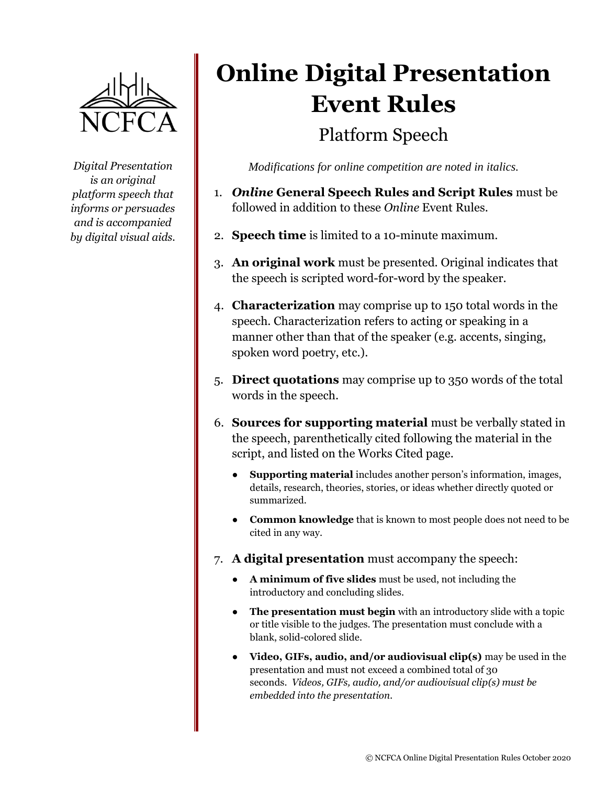

*Digital Presentation is an original platform speech that informs or persuades and is accompanied by digital visual aids.*

## **Online Digital Presentation Event Rules** Platform Speech

*Modifications for online competition are noted in italics.*

- 1. *Online* **General Speech Rules and Script Rules** must be followed in addition to these *Online* Event Rules.
- 2. **Speech time** is limited to a 10-minute maximum.
- 3. **An original work** must be presented. Original indicates that the speech is scripted word-for-word by the speaker.
- 4. **Characterization** may comprise up to 150 total words in the speech. Characterization refers to acting or speaking in a manner other than that of the speaker (e.g. accents, singing, spoken word poetry, etc.).
- 5. **Direct quotations** may comprise up to 350 words of the total words in the speech.
- 6. **Sources for supporting material** must be verbally stated in the speech, parenthetically cited following the material in the script, and listed on the Works Cited page.
	- **Supporting material** includes another person's information, images, details, research, theories, stories, or ideas whether directly quoted or summarized.
	- **Common knowledge** that is known to most people does not need to be cited in any way.
- 7. **A digital presentation** must accompany the speech:
	- **A minimum of five slides** must be used, not including the introductory and concluding slides.
	- **The presentation must begin** with an introductory slide with a topic or title visible to the judges. The presentation must conclude with a blank, solid-colored slide.
	- **Video, GIFs, audio, and/or audiovisual clip(s)** may be used in the presentation and must not exceed a combined total of 30 seconds. *Videos, GIFs, audio, and/or audiovisual clip(s) must be embedded into the presentation.*